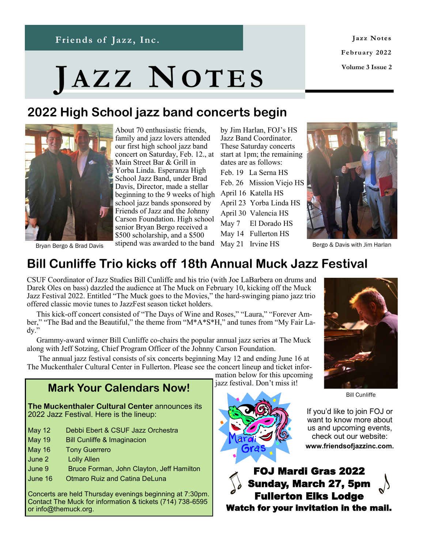Jazz Notes **February 2022 Volume 3 Issue 2**

# **JA Z Z NOT E S**

**News and Notes from Friends of Jazz, Inc.**

# **2022 High School jazz band concerts begin**



About 70 enthusiastic friends, family and jazz lovers attended our first high school jazz band concert on Saturday, Feb. 12., at Main Street Bar & Grill in Yorba Linda. Esperanza High School Jazz Band, under Brad Davis, Director, made a stellar beginning to the 9 weeks of high school jazz bands sponsored by Friends of Jazz and the Johnny Carson Foundation. High school senior Bryan Bergo received a \$500 scholarship, and a \$500 stipend was awarded to the band May 21 Irvine HS

by Jim Harlan, FOJ's HS Jazz Band Coordinator. These Saturday concerts start at 1pm; the remaining dates are as follows:

Feb. 19 La Serna HS Feb. 26 Mission Viejo HS April 16 Katella HS April 23 Yorba Linda HS April 30 Valencia HS May 7 El Dorado HS May 14 Fullerton HS



Bergo & Davis with Jim Harlan

Bryan Bergo & Brad Davis

## **Bill Cunliffe Trio kicks off 18th Annual Muck Jazz Festival**

CSUF Coordinator of Jazz Studies Bill Cunliffe and his trio (with Joe LaBarbera on drums and Darek Oles on bass) dazzled the audience at The Muck on February 10, kicking off the Muck Jazz Festival 2022. Entitled "The Muck goes to the Movies," the hard-swinging piano jazz trio offered classic movie tunes to JazzFest season ticket holders.

 This kick-off concert consisted of "The Days of Wine and Roses," "Laura," "Forever Amber," "The Bad and the Beautiful," the theme from "M\*A\*S\*H," and tunes from "My Fair Lady."

 Grammy-award winner Bill Cunliffe co-chairs the popular annual jazz series at The Muck along with Jeff Sotzing, Chief Program Officer of the Johnny Carson Foundation.

 The annual jazz festival consists of six concerts beginning May 12 and ending June 16 at The Muckenthaler Cultural Center in Fullerton. Please see the concert lineup and ticket infor-

## **Mark Your Calendars Now!**

**The Muckenthaler Cultural Center** announces its 2022 Jazz Festival. Here is the lineup:

- May 12 Debbi Ebert & CSUF Jazz Orchestra
- May 19 Bill Cunliffe & Imaginacion
- May 16 Tony Guerrero
- June 2 Lolly Allen
- June 9 Bruce Forman, John Clayton, Jeff Hamilton
- June 16 Otmaro Ruiz and Catina DeLuna

Concerts are held Thursday evenings beginning at 7:30pm. Contact The Muck for information & tickets (714) 738-6595 or info@themuck.org.

mation below for this upcoming jazz festival. Don't miss it!



Bill Cunliffe



If you'd like to join FOJ or want to know more about us and upcoming events, check out our website:

**www.friendsofjazzinc.com.**

FOJ Mardi Gras 2022 Sunday, March 27, 5pm Fullerton Elks Lodge Watch for your invitation in the mail.